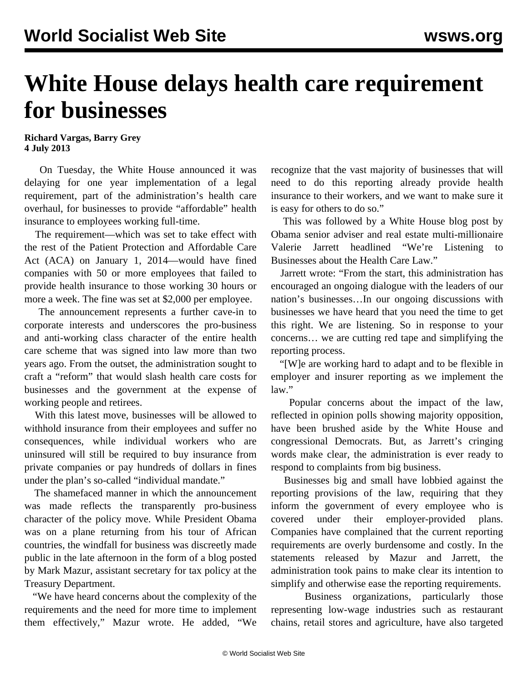## **White House delays health care requirement for businesses**

## **Richard Vargas, Barry Grey 4 July 2013**

 On Tuesday, the White House announced it was delaying for one year implementation of a legal requirement, part of the administration's health care overhaul, for businesses to provide "affordable" health insurance to employees working full-time.

 The requirement—which was set to take effect with the rest of the Patient Protection and Affordable Care Act (ACA) on January 1, 2014—would have fined companies with 50 or more employees that failed to provide health insurance to those working 30 hours or more a week. The fine was set at \$2,000 per employee.

 The announcement represents a further cave-in to corporate interests and underscores the pro-business and anti-working class character of the entire health care scheme that was signed into law more than two years ago. From the outset, the administration sought to craft a "reform" that would slash health care costs for businesses and the government at the expense of working people and retirees.

 With this latest move, businesses will be allowed to withhold insurance from their employees and suffer no consequences, while individual workers who are uninsured will still be required to buy insurance from private companies or pay hundreds of dollars in fines under the plan's so-called "individual mandate."

 The shamefaced manner in which the announcement was made reflects the transparently pro-business character of the policy move. While President Obama was on a plane returning from his tour of African countries, the windfall for business was discreetly made public in the late afternoon in the form of a blog posted by Mark Mazur, assistant secretary for tax policy at the Treasury Department.

 "We have heard concerns about the complexity of the requirements and the need for more time to implement them effectively," Mazur wrote. He added, "We

recognize that the vast majority of businesses that will need to do this reporting already provide health insurance to their workers, and we want to make sure it is easy for others to do so."

 This was followed by a White House blog post by Obama senior adviser and real estate multi-millionaire Valerie Jarrett headlined "We're Listening to Businesses about the Health Care Law."

 Jarrett wrote: "From the start, this administration has encouraged an ongoing dialogue with the leaders of our nation's businesses…In our ongoing discussions with businesses we have heard that you need the time to get this right. We are listening. So in response to your concerns… we are cutting red tape and simplifying the reporting process.

 "[W]e are working hard to adapt and to be flexible in employer and insurer reporting as we implement the law."

 Popular concerns about the impact of the law, reflected in opinion polls showing majority opposition, have been brushed aside by the White House and congressional Democrats. But, as Jarrett's cringing words make clear, the administration is ever ready to respond to complaints from big business.

 Businesses big and small have lobbied against the reporting provisions of the law, requiring that they inform the government of every employee who is covered under their employer-provided plans. Companies have complained that the current reporting requirements are overly burdensome and costly. In the statements released by Mazur and Jarrett, the administration took pains to make clear its intention to simplify and otherwise ease the reporting requirements.

 Business organizations, particularly those representing low-wage industries such as restaurant chains, retail stores and agriculture, have also targeted